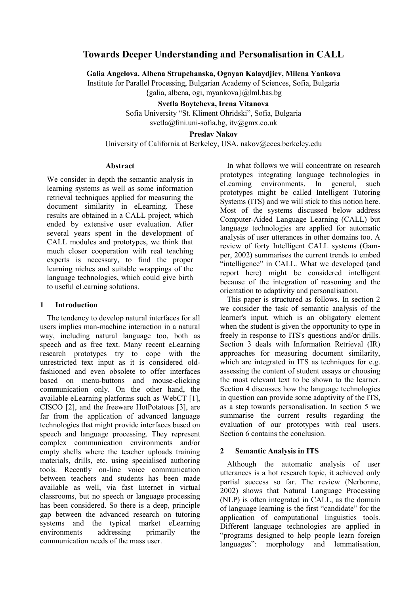# **Towards Deeper Understanding and Personalisation in CALL**

**Galia Angelova, Albena Strupchanska, Ognyan Kalaydjiev, Milena Yankova**  Institute for Parallel Processing, Bulgarian Academy of Sciences, Sofia, Bulgaria {galia, albena, ogi, [myankova}@lml.bas.bg](mailto:myankova}@lml.bas.bg) 

> **Svetla Boytcheva, Irena Vitanova**  Sofia University "St. Kliment Ohridski", Sofia, Bulgaria svetla@fmi.uni-sofia.bg, [itv@gmx.co.uk](mailto:itv@gmx.co.uk)

> > **Preslav Nakov**

University of California at Berkeley, USA, nakov@eecs.berkeley.edu

### **Abstract**

We consider in depth the semantic analysis in learning systems as well as some information retrieval techniques applied for measuring the document similarity in eLearning. These results are obtained in a CALL project, which ended by extensive user evaluation. After several years spent in the development of CALL modules and prototypes, we think that much closer cooperation with real teaching experts is necessary, to find the proper learning niches and suitable wrappings of the language technologies, which could give birth to useful eLearning solutions.

### **1 Introduction**

The tendency to develop natural interfaces for all users implies man-machine interaction in a natural way, including natural language too, both as speech and as free text. Many recent eLearning research prototypes try to cope with the unrestricted text input as it is considered oldfashioned and even obsolete to offer interfaces based on menu-buttons and mouse-clicking communication only. On the other hand, the available eLearning platforms such as WebCT [1], CISCO [2], and the freeware HotPotatoes [3], are far from the application of advanced language technologies that might provide interfaces based on speech and language processing. They represent complex communication environments and/or empty shells where the teacher uploads training materials, drills, etc. using specialised authoring tools. Recently on-line voice communication between teachers and students has been made available as well, via fast Internet in virtual classrooms, but no speech or language processing has been considered. So there is a deep, principle gap between the advanced research on tutoring systems and the typical market eLearning environments addressing primarily the communication needs of the mass user.

In what follows we will concentrate on research prototypes integrating language technologies in eLearning environments. In general, such prototypes might be called Intelligent Tutoring Systems (ITS) and we will stick to this notion here. Most of the systems discussed below address Computer-Aided Language Learning (CALL) but language technologies are applied for automatic analysis of user utterances in other domains too. A review of forty Intelligent CALL systems (Gamper, 2002) summarises the current trends to embed "intelligence" in CALL. What we developed (and report here) might be considered intelligent because of the integration of reasoning and the orientation to adaptivity and personalisation.

This paper is structured as follows. In section 2 we consider the task of semantic analysis of the learner's input, which is an obligatory element when the student is given the opportunity to type in freely in response to ITS's questions and/or drills. Section 3 deals with Information Retrieval (IR) approaches for measuring document similarity, which are integrated in ITS as techniques for e.g. assessing the content of student essays or choosing the most relevant text to be shown to the learner. Section 4 discusses how the language technologies in question can provide some adaptivity of the ITS, as a step towards personalisation. In section 5 we summarise the current results regarding the evaluation of our prototypes with real users. Section 6 contains the conclusion.

# **2 Semantic Analysis in ITS**

Although the automatic analysis of user utterances is a hot research topic, it achieved only partial success so far. The review (Nerbonne, 2002) shows that Natural Language Processing (NLP) is often integrated in CALL, as the domain of language learning is the first "candidate" for the application of computational linguistics tools. Different language technologies are applied in "programs designed to help people learn foreign languages": morphology and lemmatisation,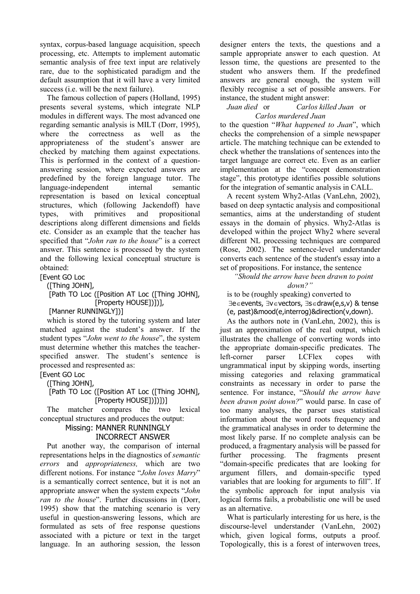syntax, corpus-based language acquisition, speech processing, etc. Attempts to implement automatic semantic analysis of free text input are relatively rare, due to the sophisticated paradigm and the default assumption that it will have a very limited success (i.e. will be the next failure).

The famous collection of papers (Holland, 1995) presents several systems, which integrate NLP modules in different ways. The most advanced one regarding semantic analysis is MILT (Dorr, 1995), where the correctness as well as the appropriateness of the student's answer are checked by matching them against expectations. This is performed in the context of a questionanswering session, where expected answers are predefined by the foreign language tutor. The language-independent internal semantic representation is based on lexical conceptual structures, which (following Jackendoff) have types, with primitives and propositional descriptions along different dimensions and fields etc. Consider as an example that the teacher has specified that "*John ran to the house*" is a correct answer. This sentence is processed by the system and the following lexical conceptual structure is obtained:

**[Event GO Loc** 

([Thing JOHN],

 [Path TO Loc ([Position AT Loc ([Thing JOHN], [Property HOUSE])])],

[Manner RUNNINGLY])]

which is stored by the tutoring system and later matched against the student's answer. If the student types "*John went to the house*", the system must determine whether this matches the teacherspecified answer. The student's sentence is processed and respresented as:

[Event GO Loc

([Thing JOHN],

 [Path TO Loc ([Position AT Loc ([Thing JOHN], [Property HOUSE])])])]

The matcher compares the two lexical conceptual structures and produces the output:

#### Missing: MANNER RUNNINGLY INCORRECT ANSWER

Put another way, the comparison of internal representations helps in the diagnostics of *semantic errors* and *appropriateness,* which are two different notions. For instance "*John loves Marry*" is a semantically correct sentence, but it is not an appropriate answer when the system expects "*John ran to the house*". Further discussions in (Dorr, 1995) show that the matching scenario is very useful in question-answering lessons, which are formulated as sets of free response questions associated with a picture or text in the target language. In an authoring session, the lesson

designer enters the texts, the questions and a sample appropriate answer to each question. At lesson time, the questions are presented to the student who answers them. If the predefined answers are general enough, the system will flexibly recognise a set of possible answers. For instance, the student might answer:

### *Juan died* or *Carlos killed Juan* or *Carlos murdered Juan*

to the question "*What happened to Juan*", which checks the comprehension of a simple newspaper article. The matching technique can be extended to check whether the translations of sentences into the target language are correct etc. Even as an earlier implementation at the "concept demonstration stage", this prototype identifies possible solutions for the integration of semantic analysis in CALL.

A recent system Why2-Atlas (VanLehn, 2002), based on deep syntactic analysis and compositional semantics, aims at the understanding of student essays in the domain of physics. Why2-Atlas is developed within the project Why2 where several different NL processing techniques are compared (Rose, 2002). The sentence-level understander converts each sentence of the student's essay into a set of propositions. For instance, the sentence

*"Should the arrow have been drawn to point down?"* 

is to be (roughly speaking) converted to ∃e∈events, ∃v∈vectors, ∃s∈draw(e,s,v) & tense (e, past)&mood(e,interrog)&direction(v,down).

As the authors note in (VanLehn, 2002), this is just an approximation of the real output, which illustrates the challenge of converting words into the appropriate domain-specific predicates. The left-corner parser LCFlex copes with ungrammatical input by skipping words, inserting missing categories and relaxing grammatical constraints as necessary in order to parse the sentence. For instance, "*Should the arrow have been drawn point down?*" would parse. In case of too many analyses, the parser uses statistical information about the word roots frequency and the grammatical analyses in order to determine the most likely parse. If no complete analysis can be produced, a fragmentary analysis will be passed for further processing. The fragments present "domain-specific predicates that are looking for argument fillers, and domain-specific typed variables that are looking for arguments to fill". If the symbolic approach for input analysis via logical forms fails, a probabilistic one will be used as an alternative.

What is particularly interesting for us here, is the discourse-level understander (VanLehn, 2002) which, given logical forms, outputs a proof. Topologically, this is a forest of interwoven trees,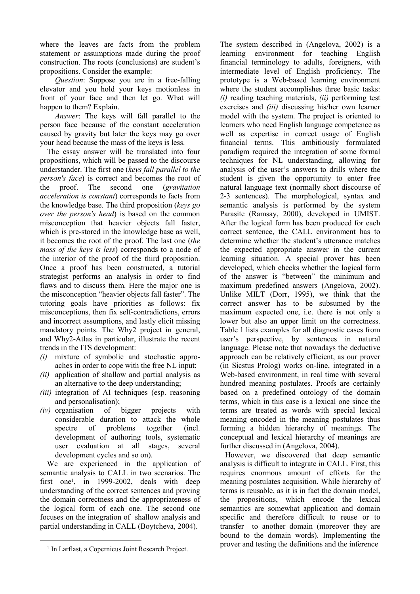where the leaves are facts from the problem statement or assumptions made during the proof construction. The roots (conclusions) are student's propositions. Consider the example:

*Question*: Suppose you are in a free-falling elevator and you hold your keys motionless in front of your face and then let go. What will happen to them? Explain.

*Answer*: The keys will fall parallel to the person face because of the constant acceleration caused by gravity but later the keys may go over your head because the mass of the keys is less.

The essay answer will be translated into four propositions, which will be passed to the discourse understander. The first one (*keys fall parallel to the person's face*) is correct and becomes the root of the proof. The second one (*gravitation acceleration is constant*) corresponds to facts from the knowledge base. The third proposition (*keys go over the person's head*) is based on the common misconception that heavier objects fall faster, which is pre-stored in the knowledge base as well, it becomes the root of the proof. The last one (*the mass of the keys is less*) corresponds to a node of the interior of the proof of the third proposition. Once a proof has been constructed, a tutorial strategist performs an analysis in order to find flaws and to discuss them. Here the major one is the misconception "heavier objects fall faster". The tutoring goals have priorities as follows: fix misconceptions, then fix self-contradictions, errors and incorrect assumptions, and lastly elicit missing mandatory points. The Why2 project in general, and Why2-Atlas in particular, illustrate the recent trends in the ITS development:

- *(i)* mixture of symbolic and stochastic approaches in order to cope with the free NL input;
- *(ii)* application of shallow and partial analysis as an alternative to the deep understanding;
- *(iii)* integration of AI techniques (esp. reasoning and personalisation);
- *(iv)* organisation of bigger projects with considerable duration to attack the whole spectre of problems together (incl. development of authoring tools, systematic user evaluation at all stages, several development cycles and so on).

We are experienced in the application of semantic analysis to CALL in two scenarios. The first one1, in 1999-2002, deals with deep understanding of the correct sentences and proving the domain correctness and the appropriateness of the logical form of each one. The second one focuses on the integration of shallow analysis and partial understanding in CALL (Boytcheva, 2004).

The system described in (Angelova, 2002) is a learning environment for teaching English financial terminology to adults, foreigners, with intermediate level of English proficiency. The prototype is a Web-based learning environment where the student accomplishes three basic tasks: *(i)* reading teaching materials, *(ii)* performing test exercises and *(iii)* discussing his/her own learner model with the system. The project is oriented to learners who need English language competence as well as expertise in correct usage of English financial terms. This ambitiously formulated paradigm required the integration of some formal techniques for NL understanding, allowing for analysis of the user's answers to drills where the student is given the opportunity to enter free natural language text (normally short discourse of 2-3 sentences). The morphological, syntax and semantic analysis is performed by the system Parasite (Ramsay, 2000), developed in UMIST. After the logical form has been produced for each correct sentence, the CALL environment has to determine whether the student's utterance matches the expected appropriate answer in the current learning situation. A special prover has been developed, which checks whether the logical form of the answer is "between" the minimum and maximum predefined answers (Angelova, 2002). Unlike MILT (Dorr, 1995), we think that the correct answer has to be subsumed by the maximum expected one, i.e. there is not only a lower but also an upper limit on the correctness. Table 1 lists examples for all diagnostic cases from user's perspective, by sentences in natural language. Please note that nowadays the deductive approach can be relatively efficient, as our prover (in Sicstus Prolog) works on-line, integrated in a Web-based environment, in real time with several hundred meaning postulates. Proofs are certainly based on a predefined ontology of the domain terms, which in this case is a lexical one since the terms are treated as words with special lexical meaning encoded in the meaning postulates thus forming a hidden hierarchy of meanings. The conceptual and lexical hierarchy of meanings are further discussed in (Angelova, 2004).

However, we discovered that deep semantic analysis is difficult to integrate in CALL. First, this requires enormous amount of efforts for the meaning postulates acquisition. While hierarchy of terms is reusable, as it is in fact the domain model, the propositions, which encode the lexical semantics are somewhat application and domain specific and therefore difficult to reuse or to transfer to another domain (moreover they are bound to the domain words). Implementing the prover and testing the definitions and the inference

<sup>1</sup> In Larflast, a Copernicus Joint Research Project.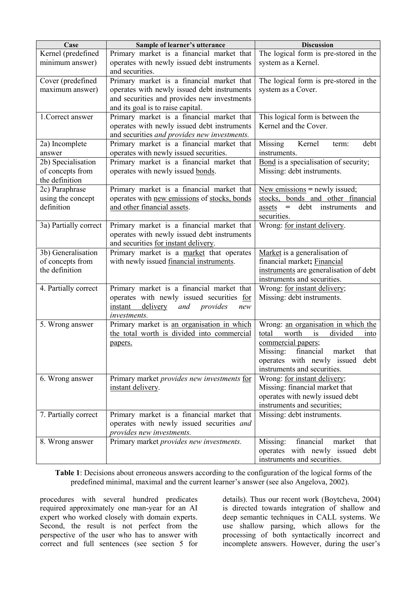| Case                                   | Sample of learner's utterance                 | <b>Discussion</b>                                                         |
|----------------------------------------|-----------------------------------------------|---------------------------------------------------------------------------|
| Kernel (predefined                     | Primary market is a financial market that     | The logical form is pre-stored in the                                     |
| minimum answer)                        | operates with newly issued debt instruments   | system as a Kernel.                                                       |
|                                        | and securities.                               |                                                                           |
| Cover (predefined                      | Primary market is a financial market that     | The logical form is pre-stored in the                                     |
| maximum answer)                        | operates with newly issued debt instruments   | system as a Cover.                                                        |
|                                        | and securities and provides new investments   |                                                                           |
|                                        | and its goal is to raise capital.             |                                                                           |
| 1. Correct answer                      | Primary market is a financial market that     | This logical form is between the                                          |
|                                        | operates with newly issued debt instruments   | Kernel and the Cover.                                                     |
|                                        | and securities and provides new investments.  |                                                                           |
| 2a) Incomplete                         | Primary market is a financial market that     | Missing<br>Kernel<br>debt<br>term:                                        |
| answer                                 | operates with newly issued securities.        | instruments.                                                              |
| 2b) Specialisation<br>of concepts from | Primary market is a financial market that     | Bond is a specialisation of security;                                     |
| the definition                         | operates with newly issued bonds.             | Missing: debt instruments.                                                |
| 2c) Paraphrase                         | Primary market is a financial market that     | New emissions $=$ newly issued;                                           |
| using the concept                      | operates with new emissions of stocks, bonds  | stocks, bonds and other financial                                         |
| definition                             | and other financial assets.                   | debt<br>instruments<br>$\hspace{1.0cm} = \hspace{1.0cm}$<br>assets<br>and |
|                                        |                                               | securities.                                                               |
| 3a) Partially correct                  | Primary market is a financial market that     | Wrong: for instant delivery.                                              |
|                                        | operates with newly issued debt instruments   |                                                                           |
|                                        | and securities for instant delivery.          |                                                                           |
| 3b) Generalisation                     | Primary market is a market that operates      | Market is a generalisation of                                             |
| of concepts from                       | with newly issued financial instruments.      | financial market; Financial                                               |
| the definition                         |                                               | instruments are generalisation of debt                                    |
|                                        |                                               | instruments and securities.                                               |
| 4. Partially correct                   | Primary market is a financial market that     | Wrong: for instant delivery;                                              |
|                                        | operates with newly issued securities for     | Missing: debt instruments.                                                |
|                                        | instant<br>delivery<br>and<br>provides<br>new |                                                                           |
|                                        | <i>investments.</i>                           |                                                                           |
| 5. Wrong answer                        | Primary market is an organisation in which    | Wrong: an organisation in which the                                       |
|                                        | the total worth is divided into commercial    | worth<br>is<br>divided<br>total<br>into                                   |
|                                        | papers.                                       | commercial papers;<br>Missing:<br>financial<br>market<br>that             |
|                                        |                                               | operates with newly issued debt                                           |
|                                        |                                               | instruments and securities.                                               |
| 6. Wrong answer                        | Primary market provides new investments for   | Wrong: for instant delivery;                                              |
|                                        | instant delivery.                             | Missing: financial market that                                            |
|                                        |                                               | operates with newly issued debt                                           |
|                                        |                                               | instruments and securities;                                               |
| 7. Partially correct                   | Primary market is a financial market that     | Missing: debt instruments.                                                |
|                                        | operates with newly issued securities and     |                                                                           |
|                                        | provides new investments.                     |                                                                           |
| 8. Wrong answer                        | Primary market provides new investments.      | Missing:<br>financial<br>market<br>that                                   |
|                                        |                                               | operates with newly issued<br>debt                                        |
|                                        |                                               | instruments and securities.                                               |

**Table 1**: Decisions about erroneous answers according to the configuration of the logical forms of the predefined minimal, maximal and the current learner's answer (see also Angelova, 2002).

procedures with several hundred predicates required approximately one man-year for an AI expert who worked closely with domain experts. Second, the result is not perfect from the perspective of the user who has to answer with correct and full sentences (see section 5 for

details). Thus our recent work (Boytcheva, 2004) is directed towards integration of shallow and deep semantic techniques in CALL systems. We use shallow parsing, which allows for the processing of both syntactically incorrect and incomplete answers. However, during the user's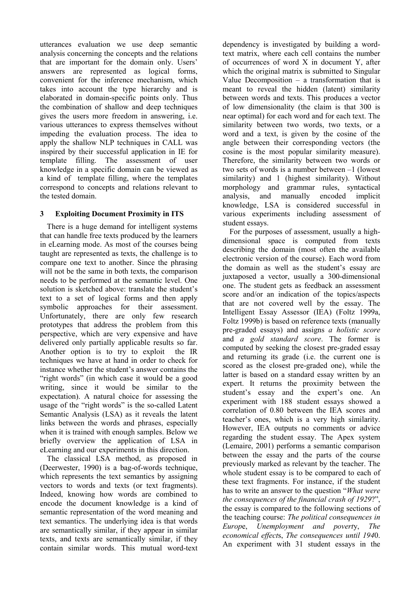utterances evaluation we use deep semantic analysis concerning the concepts and the relations that are important for the domain only. Users' answers are represented as logical forms, convenient for the inference mechanism, which takes into account the type hierarchy and is elaborated in domain-specific points only. Thus the combination of shallow and deep techniques gives the users more freedom in answering, i.e. various utterances to express themselves without impeding the evaluation process. The idea to apply the shallow NLP techniques in CALL was inspired by their successful application in IE for template filling. The assessment of user knowledge in a specific domain can be viewed as a kind of template filling, where the templates correspond to concepts and relations relevant to the tested domain.

# **3 Exploiting Document Proximity in ITS**

There is a huge demand for intelligent systems that can handle free texts produced by the learners in eLearning mode. As most of the courses being taught are represented as texts, the challenge is to compare one text to another. Since the phrasing will not be the same in both texts, the comparison needs to be performed at the semantic level. One solution is sketched above: translate the student's text to a set of logical forms and then apply symbolic approaches for their assessment. Unfortunately, there are only few research prototypes that address the problem from this perspective, which are very expensive and have delivered only partially applicable results so far. Another option is to try to exploit the IR techniques we have at hand in order to check for instance whether the student's answer contains the "right words" (in which case it would be a good writing, since it would be similar to the expectation). A natural choice for assessing the usage of the "right words" is the so-called Latent Semantic Analysis (LSA) as it reveals the latent links between the words and phrases, especially when it is trained with enough samples. Below we briefly overview the application of LSA in eLearning and our experiments in this direction.

The classical LSA method, as proposed in (Deerwester, 1990) is a bag-of-words technique, which represents the text semantics by assigning vectors to words and texts (or text fragments). Indeed, knowing how words are combined to encode the document knowledge is a kind of semantic representation of the word meaning and text semantics. The underlying idea is that words are semantically similar, if they appear in similar texts, and texts are semantically similar, if they contain similar words. This mutual word-text

dependency is investigated by building a wordtext matrix, where each cell contains the number of occurrences of word X in document Y, after which the original matrix is submitted to Singular Value Decomposition  $-$  a transformation that is meant to reveal the hidden (latent) similarity between words and texts. This produces a vector of low dimensionality (the claim is that 300 is near optimal) for each word and for each text. The similarity between two words, two texts, or a word and a text, is given by the cosine of the angle between their corresponding vectors (the cosine is the most popular similarity measure). Therefore, the similarity between two words or two sets of words is a number between –1 (lowest similarity) and 1 (highest similarity). Without morphology and grammar rules, syntactical analysis, and manually encoded implicit knowledge, LSA is considered successful in various experiments including assessment of student essays.

For the purposes of assessment, usually a highdimensional space is computed from texts describing the domain (most often the available electronic version of the course). Each word from the domain as well as the student's essay are juxtaposed a vector, usually a 300-dimensional one. The student gets as feedback an assessment score and/or an indication of the topics/aspects that are not covered well by the essay. The Intelligent Essay Assessor (IEA) (Foltz 1999a, Foltz 1999b) is based on reference texts (manually pre-graded essays) and assigns *a holistic score* and *a gold standard score*. The former is computed by seeking the closest pre-graded essay and returning its grade (i.e. the current one is scored as the closest pre-graded one), while the latter is based on a standard essay written by an expert. It returns the proximity between the student's essay and the expert's one. An experiment with 188 student essays showed a correlation of 0.80 between the IEA scores and teacher's ones, which is a very high similarity. However, IEA outputs no comments or advice regarding the student essay. The Apex system (Lemaire, 2001) performs a semantic comparison between the essay and the parts of the course previously marked as relevant by the teacher. The whole student essay is to be compared to each of these text fragments. For instance, if the student has to write an answer to the question "*What were the consequences of the financial crash of 1929*?", the essay is compared to the following sections of the teaching course: *The political consequences in Europ*e, *Unemployment and povert*y, *The economical effect*s, *The consequences until 194*0. An experiment with 31 student essays in the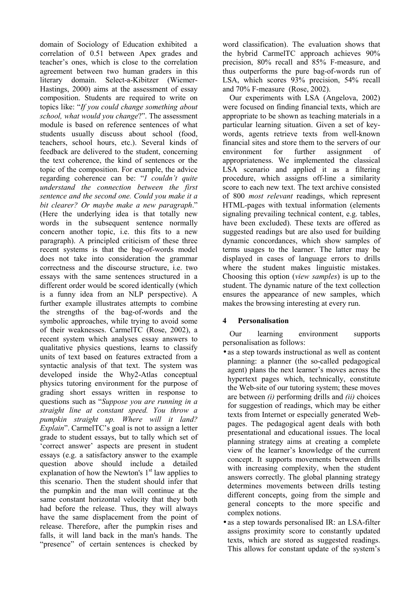domain of Sociology of Education exhibited a correlation of 0.51 between Apex grades and teacher's ones, which is close to the correlation agreement between two human graders in this literary domain. Select-a-Kibitzer (Wiemer-Hastings, 2000) aims at the assessment of essay composition. Students are required to write on topics like: "*If you could change something about school, what would you change*?". The assessment module is based on reference sentences of what students usually discuss about school (food, teachers, school hours, etc.). Several kinds of feedback are delivered to the student, concerning the text coherence, the kind of sentences or the topic of the composition. For example, the advice regarding coherence can be: "*I couldn't quite understand the connection between the first sentence and the second one. Could you make it a bit clearer? Or maybe make a new paragraph*." (Here the underlying idea is that totally new words in the subsequent sentence normally concern another topic, i.e. this fits to a new paragraph). A principled criticism of these three recent systems is that the bag-of-words model does not take into consideration the grammar correctness and the discourse structure, i.e. two essays with the same sentences structured in a different order would be scored identically (which is a funny idea from an NLP perspective). A further example illustrates attempts to combine the strengths of the bag-of-words and the symbolic approaches, while trying to avoid some of their weaknesses. CarmelTC (Rose, 2002), a recent system which analyses essay answers to qualitative physics questions, learns to classify units of text based on features extracted from a syntactic analysis of that text. The system was developed inside the Why2-Atlas conceptual physics tutoring environment for the purpose of grading short essays written in response to questions such as "*Suppose you are running in a straight line at constant speed. You throw a pumpkin straight up. Where will it land? Explain*". CarmelTC's goal is not to assign a letter grade to student essays, but to tally which set of 'correct answer' aspects are present in student essays (e.g. a satisfactory answer to the example question above should include a detailed explanation of how the Newton's  $1<sup>st</sup>$  law applies to this scenario. Then the student should infer that the pumpkin and the man will continue at the same constant horizontal velocity that they both had before the release. Thus, they will always have the same displacement from the point of release. Therefore, after the pumpkin rises and falls, it will land back in the man's hands. The "presence" of certain sentences is checked by

word classification). The evaluation shows that the hybrid CarmelTC approach achieves 90% precision, 80% recall and 85% F-measure, and thus outperforms the pure bag-of-words run of LSA, which scores 93% precision, 54% recall and 70% F-measure (Rose, 2002).

Our experiments with LSA (Angelova, 2002) were focused on finding financial texts, which are appropriate to be shown as teaching materials in a particular learning situation. Given a set of keywords, agents retrieve texts from well-known financial sites and store them to the servers of our environment for further assignment of appropriateness. We implemented the classical LSA scenario and applied it as a filtering procedure, which assigns off-line a similarity score to each new text. The text archive consisted of 800 *most relevant* readings, which represent HTML-pages with textual information (elements signaling prevailing technical content, e.g. tables, have been excluded). These texts are offered as suggested readings but are also used for building dynamic concordances, which show samples of terms usages to the learner. The latter may be displayed in cases of language errors to drills where the student makes linguistic mistakes. Choosing this option (*view samples*) is up to the student. The dynamic nature of the text collection ensures the appearance of new samples, which makes the browsing interesting at every run.

# **4 Personalisation**

Our learning environment supports personalisation as follows:

- as a step towards instructional as well as content planning: a planner (the so-called pedagogical agent) plans the next learner's moves across the hypertext pages which, technically, constitute the Web-site of our tutoring system; these moves are between *(i)* performing drills and *(ii)* choices for suggestion of readings, which may be either texts from Internet or especially generated Webpages. The pedagogical agent deals with both presentational and educational issues. The local planning strategy aims at creating a complete view of the learner's knowledge of the current concept. It supports movements between drills with increasing complexity, when the student answers correctly. The global planning strategy determines movements between drills testing different concepts, going from the simple and general concepts to the more specific and complex notions.
- as a step towards personalised IR: an LSA-filter assigns proximity score to constantly updated texts, which are stored as suggested readings. This allows for constant update of the system's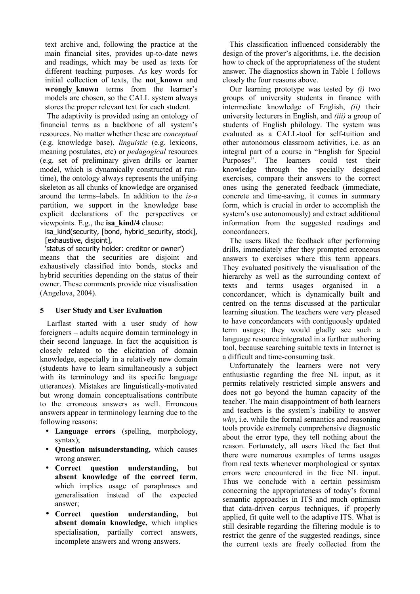text archive and, following the practice at the main financial sites, provides up-to-date news and readings, which may be used as texts for different teaching purposes. As key words for initial collection of texts, the **not\_known** and **wrongly\_known** terms from the learner's models are chosen, so the CALL system always stores the proper relevant text for each student.

The adaptivity is provided using an ontology of financial terms as a backbone of all system's resources. No matter whether these are *conceptual* (e.g. knowledge base), *linguistic* (e.g. lexicons, meaning postulates, etc) or *pedagogical* resources (e.g. set of preliminary given drills or learner model, which is dynamically constructed at runtime), the ontology always represents the unifying skeleton as all chunks of knowledge are organised around the terms–labels. In addition to the *is-a* partition, we support in the knowledge base explicit declarations of the perspectives or viewpoints. E.g., the **isa\_kind/4** clause:

isa\_kind(security, [bond, hybrid\_security, stock], [exhaustive, disjoint],

'status of security holder: creditor or owner') means that the securities are disjoint and exhaustively classified into bonds, stocks and hybrid securities depending on the status of their owner. These comments provide nice visualisation (Angelova, 2004).

# **5 User Study and User Evaluation**

Larflast started with a user study of how foreigners – adults acquire domain terminology in their second language. In fact the acquisition is closely related to the elicitation of domain knowledge, especially in a relatively new domain (students have to learn simultaneously a subject with its terminology and its specific language utterances). Mistakes are linguistically-motivated but wrong domain conceptualisations contribute to the erroneous answers as well. Erroneous answers appear in terminology learning due to the following reasons:

- **Language errors** (spelling, morphology, syntax);
- **Question misunderstanding,** which causes wrong answer;
- **Correct question understanding,** but **absent knowledge of the correct term**, which implies usage of paraphrases and generalisation instead of the expected answer;
- **Correct question understanding,** but **absent domain knowledge,** which implies specialisation, partially correct answers, incomplete answers and wrong answers.

This classification influenced considerably the design of the prover's algorithms, i.e. the decision how to check of the appropriateness of the student answer. The diagnostics shown in Table 1 follows closely the four reasons above.

Our learning prototype was tested by *(i)* two groups of university students in finance with intermediate knowledge of English, *(ii)* their university lecturers in English, and *(iii)* a group of students of English philology. The system was evaluated as a CALL-tool for self-tuition and other autonomous classroom activities, i.e. as an integral part of a course in "English for Special Purposes". The learners could test their knowledge through the specially designed exercises, compare their answers to the correct ones using the generated feedback (immediate, concrete and time-saving, it comes in summary form, which is crucial in order to accomplish the system's use autonomously) and extract additional information from the suggested readings and concordancers.

The users liked the feedback after performing drills, immediately after they prompted erroneous answers to exercises where this term appears. They evaluated positively the visualisation of the hierarchy as well as the surrounding context of texts and terms usages organised in a concordancer, which is dynamically built and centred on the terms discussed at the particular learning situation. The teachers were very pleased to have concordancers with contiguously updated term usages; they would gladly see such a language resource integrated in a further authoring tool, because searching suitable texts in Internet is a difficult and time-consuming task.

Unfortunately the learners were not very enthusiastic regarding the free NL input, as it permits relatively restricted simple answers and does not go beyond the human capacity of the teacher. The main disappointment of both learners and teachers is the system's inability to answer *why*, i.e. while the formal semantics and reasoning tools provide extremely comprehensive diagnostic about the error type, they tell nothing about the reason. Fortunately, all users liked the fact that there were numerous examples of terms usages from real texts whenever morphological or syntax errors were encountered in the free NL input. Thus we conclude with a certain pessimism concerning the appropriateness of today's formal semantic approaches in ITS and much optimism that data-driven corpus techniques, if properly applied, fit quite well to the adaptive ITS. What is still desirable regarding the filtering module is to restrict the genre of the suggested readings, since the current texts are freely collected from the